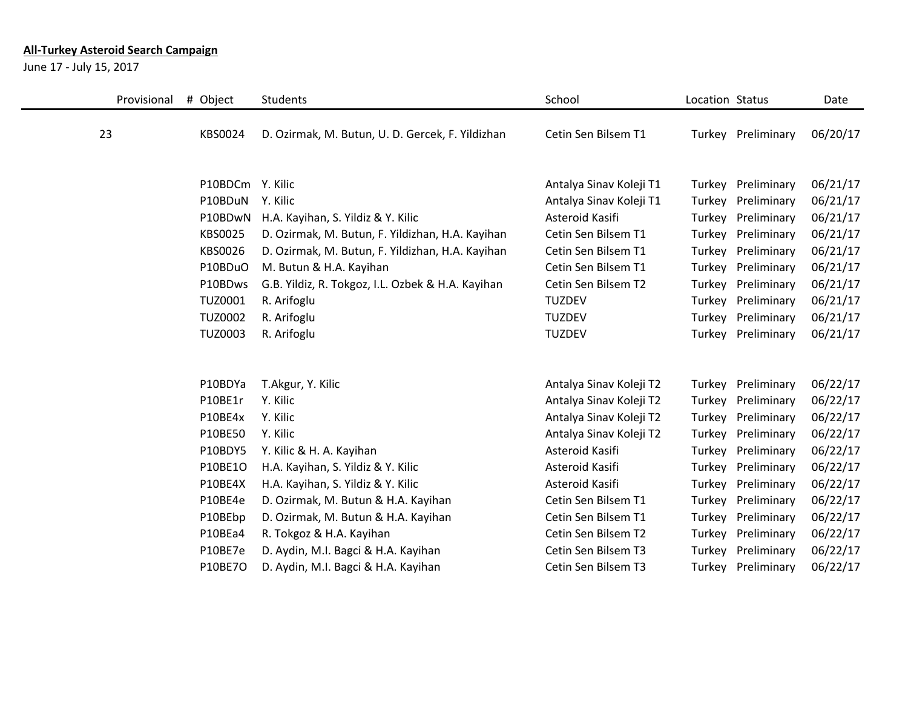## **All-Turkey Asteroid Search Campaign**

June 17 - July 15, 2017

| Provisional | # Object       | Students                                          | School                  | Location Status |                    | Date     |
|-------------|----------------|---------------------------------------------------|-------------------------|-----------------|--------------------|----------|
| 23          | KBS0024        | D. Ozirmak, M. Butun, U. D. Gercek, F. Yildizhan  | Cetin Sen Bilsem T1     |                 | Turkey Preliminary | 06/20/17 |
|             |                |                                                   |                         |                 |                    |          |
|             |                |                                                   |                         |                 |                    |          |
|             | P10BDCm        | Y. Kilic                                          | Antalya Sinav Koleji T1 | Turkey          | Preliminary        | 06/21/17 |
|             | P10BDuN        | Y. Kilic                                          | Antalya Sinav Koleji T1 | Turkey          | Preliminary        | 06/21/17 |
|             | P10BDwN        | H.A. Kayihan, S. Yildiz & Y. Kilic                | Asteroid Kasifi         | Turkey          | Preliminary        | 06/21/17 |
|             | KBS0025        | D. Ozirmak, M. Butun, F. Yildizhan, H.A. Kayihan  | Cetin Sen Bilsem T1     | Turkey          | Preliminary        | 06/21/17 |
|             | KBS0026        | D. Ozirmak, M. Butun, F. Yildizhan, H.A. Kayihan  | Cetin Sen Bilsem T1     | Turkey          | Preliminary        | 06/21/17 |
|             | P10BDuO        | M. Butun & H.A. Kayihan                           | Cetin Sen Bilsem T1     | Turkey          | Preliminary        | 06/21/17 |
|             | P10BDws        | G.B. Yildiz, R. Tokgoz, I.L. Ozbek & H.A. Kayihan | Cetin Sen Bilsem T2     | Turkey          | Preliminary        | 06/21/17 |
|             | <b>TUZ0001</b> | R. Arifoglu                                       | <b>TUZDEV</b>           | Turkey          | Preliminary        | 06/21/17 |
|             | <b>TUZ0002</b> | R. Arifoglu                                       | <b>TUZDEV</b>           | Turkey          | Preliminary        | 06/21/17 |
|             | <b>TUZ0003</b> | R. Arifoglu                                       | <b>TUZDEV</b>           | Turkey          | Preliminary        | 06/21/17 |
|             |                |                                                   |                         |                 |                    |          |
|             |                |                                                   |                         |                 |                    |          |
|             | P10BDYa        | T.Akgur, Y. Kilic                                 | Antalya Sinav Koleji T2 | Turkey          | Preliminary        | 06/22/17 |
|             | P10BE1r        | Y. Kilic                                          | Antalya Sinav Koleji T2 | Turkey          | Preliminary        | 06/22/17 |
|             | P10BE4x        | Y. Kilic                                          | Antalya Sinav Koleji T2 | Turkey          | Preliminary        | 06/22/17 |
|             | P10BE50        | Y. Kilic                                          | Antalya Sinav Koleji T2 | Turkey          | Preliminary        | 06/22/17 |
|             | P10BDY5        | Y. Kilic & H. A. Kayihan                          | Asteroid Kasifi         | Turkey          | Preliminary        | 06/22/17 |
|             | P10BE1O        | H.A. Kayihan, S. Yildiz & Y. Kilic                | Asteroid Kasifi         | Turkey          | Preliminary        | 06/22/17 |
|             | P10BE4X        | H.A. Kayihan, S. Yildiz & Y. Kilic                | Asteroid Kasifi         | Turkey          | Preliminary        | 06/22/17 |
|             | P10BE4e        | D. Ozirmak, M. Butun & H.A. Kayihan               | Cetin Sen Bilsem T1     | Turkey          | Preliminary        | 06/22/17 |
|             | P10BEbp        | D. Ozirmak, M. Butun & H.A. Kayihan               | Cetin Sen Bilsem T1     | Turkey          | Preliminary        | 06/22/17 |
|             | P10BEa4        | R. Tokgoz & H.A. Kayihan                          | Cetin Sen Bilsem T2     | Turkey          | Preliminary        | 06/22/17 |
|             | P10BE7e        | D. Aydin, M.I. Bagci & H.A. Kayihan               | Cetin Sen Bilsem T3     | Turkey          | Preliminary        | 06/22/17 |
|             | <b>P10BE7O</b> | D. Aydin, M.I. Bagci & H.A. Kayihan               | Cetin Sen Bilsem T3     | Turkey          | Preliminary        | 06/22/17 |